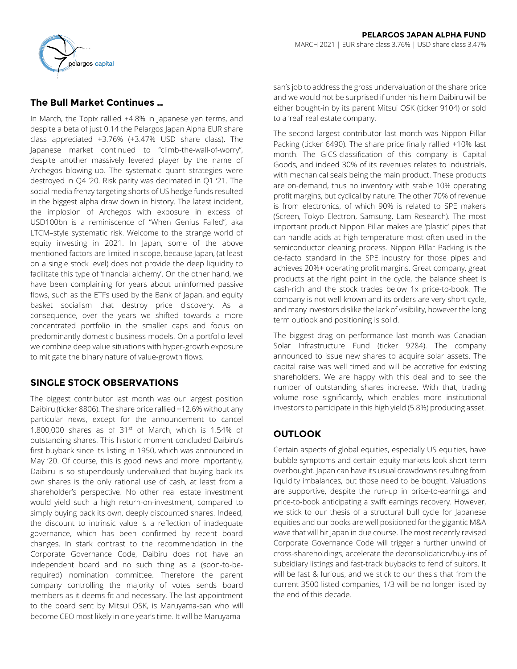

# **The Bull Market Continues …**

In March, the Topix rallied +4.8% in Japanese yen terms, and despite a beta of just 0.14 the Pelargos Japan Alpha EUR share class appreciated +3.76% (+3.47% USD share class). The Japanese market continued to "climb-the-wall-of-worry", despite another massively levered player by the name of Archegos blowing-up. The systematic quant strategies were destroyed in Q4 '20. Risk parity was decimated in Q1 '21. The social media frenzy targeting shorts of US hedge funds resulted in the biggest alpha draw down in history. The latest incident, the implosion of Archegos with exposure in excess of USD100bn is a reminiscence of "When Genius Failed", aka LTCM–style systematic risk. Welcome to the strange world of equity investing in 2021. In Japan, some of the above mentioned factors are limited in scope, because Japan, (at least on a single stock level) does not provide the deep liquidity to facilitate this type of 'financial alchemy'. On the other hand, we have been complaining for years about uninformed passive flows, such as the ETFs used by the Bank of Japan, and equity basket socialism that destroy price discovery. As a consequence, over the years we shifted towards a more concentrated portfolio in the smaller caps and focus on predominantly domestic business models. On a portfolio level we combine deep value situations with hyper-growth exposure to mitigate the binary nature of value-growth flows.

# **SINGLE STOCK OBSERVATIONS**

The biggest contributor last month was our largest position Daibiru (ticker 8806). The share price rallied +12.6% without any particular news, except for the announcement to cancel 1,800,000 shares as of  $31<sup>st</sup>$  of March, which is 1.54% of outstanding shares. This historic moment concluded Daibiru's first buyback since its listing in 1950, which was announced in May '20. Of course, this is good news and more importantly, Daibiru is so stupendously undervalued that buying back its own shares is the only rational use of cash, at least from a shareholder's perspective. No other real estate investment would yield such a high return-on-investment, compared to simply buying back its own, deeply discounted shares. Indeed, the discount to intrinsic value is a reflection of inadequate governance, which has been confirmed by recent board changes. In stark contrast to the recommendation in the Corporate Governance Code, Daibiru does not have an independent board and no such thing as a (soon-to-berequired) nomination committee. Therefore the parent company controlling the majority of votes sends board members as it deems fit and necessary. The last appointment to the board sent by Mitsui OSK, is Maruyama-san who will become CEO most likely in one year's time. It will be Maruyamasan's job to address the gross undervaluation of the share price and we would not be surprised if under his helm Daibiru will be either bought-in by its parent Mitsui OSK (ticker 9104) or sold to a 'real' real estate company.

The second largest contributor last month was Nippon Pillar Packing (ticker 6490). The share price finally rallied +10% last month. The GICS-classification of this company is Capital Goods, and indeed 30% of its revenues relates to industrials, with mechanical seals being the main product. These products are on-demand, thus no inventory with stable 10% operating profit margins, but cyclical by nature. The other 70% of revenue is from electronics, of which 90% is related to SPE makers (Screen, Tokyo Electron, Samsung, Lam Research). The most important product Nippon Pillar makes are 'plastic' pipes that can handle acids at high temperature most often used in the semiconductor cleaning process. Nippon Pillar Packing is the de-facto standard in the SPE industry for those pipes and achieves 20%+ operating profit margins. Great company, great products at the right point in the cycle, the balance sheet is cash-rich and the stock trades below 1x price-to-book. The company is not well-known and its orders are very short cycle, and many investors dislike the lack of visibility, however the long term outlook and positioning is solid.

The biggest drag on performance last month was Canadian Solar Infrastructure Fund (ticker 9284). The company announced to issue new shares to acquire solar assets. The capital raise was well timed and will be accretive for existing shareholders. We are happy with this deal and to see the number of outstanding shares increase. With that, trading volume rose significantly, which enables more institutional investors to participate in this high yield (5.8%) producing asset.

# **OUTLOOK**

Certain aspects of global equities, especially US equities, have bubble symptoms and certain equity markets look short-term overbought. Japan can have its usual drawdowns resulting from liquidity imbalances, but those need to be bought. Valuations are supportive, despite the run-up in price-to-earnings and price-to-book anticipating a swift earnings recovery. However, we stick to our thesis of a structural bull cycle for Japanese equities and our books are well positioned for the gigantic M&A wave that will hit Japan in due course. The most recently revised Corporate Governance Code will trigger a further unwind of cross-shareholdings, accelerate the deconsolidation/buy-ins of subsidiary listings and fast-track buybacks to fend of suitors. It will be fast & furious, and we stick to our thesis that from the current 3500 listed companies, 1/3 will be no longer listed by the end of this decade.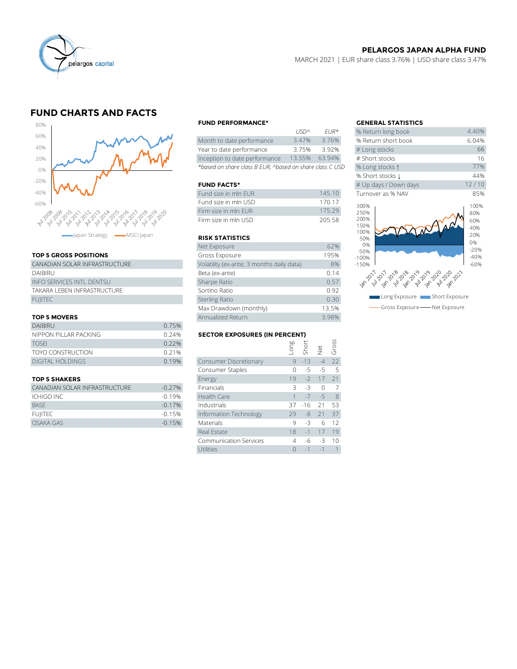

## **PELARGOS JAPAN ALPHA FUND**

MARCH 2021 | EUR share class 3.76% | USD share class 3.47%

# **FUND CHARTS AND FACTS**



### **TOP 5 GROSS POSITIONS**

| CANADIAN SOLAR INFRASTRUCTURE    | Volatility (ex-ante; 3 months daily data) |
|----------------------------------|-------------------------------------------|
| DAIBIRU                          | Beta (ex-ante)                            |
| <b>INFO SERVICES INTL DENTSU</b> | Sharpe Ratio                              |
| TAKARA LEBEN INFRASTRUCTURE      | Sortino Ratio                             |
| <b>FUIITEC</b>                   | <b>Sterling Ratio</b>                     |
|                                  |                                           |

#### **TOP 5 MOVERS**

|                          |                                               | Max Drawdown (monthly) |      |          | 13.5%                |     |
|--------------------------|-----------------------------------------------|------------------------|------|----------|----------------------|-----|
| <b>TOP 5 MOVERS</b>      |                                               | Annualized Return      |      | 3.98%    |                      |     |
| <b>DAIBIRU</b>           | 0.75%                                         |                        |      |          |                      |     |
| NIPPON PILLAR PACKING    | <b>SECTOR EXPOSURES (IN PERCENT)</b><br>0.24% |                        |      |          |                      |     |
| <b>TOSFI</b>             | 0.22%                                         |                        | guo. | Short    |                      | SS  |
| <b>TOYO CONSTRUCTION</b> | 0.21%                                         |                        |      |          | $\frac{1}{\sqrt{2}}$ |     |
| <b>DIGITAL HOLDINGS</b>  | 0.19%                                         | Consumer Discretionary |      | $9 - 13$ | $-4$                 | 22  |
|                          |                                               | Consumer Staples       |      | $-5$     | $-5$                 | - 5 |
|                          |                                               |                        |      |          |                      |     |

| CANADIAN SOLAR INFRASTRUCTURE | $-0.27%$ | Financials             | - 32 - 12 | -3             |  |
|-------------------------------|----------|------------------------|-----------|----------------|--|
| ICHIGO INC                    | $-0.19%$ | Health Care            |           | $1 - 7 - 5$ 8  |  |
| <b>BASE</b>                   | $-0.17%$ | Industrials            |           | 37 -16 21 53   |  |
| <b>FUIITEC</b>                | $-0.15%$ | Information Technology |           | $29 - 8$ 21 37 |  |
| OSAKA GAS                     | $-0.15%$ | <b>Materials</b>       |           | $-3$ 6 12      |  |
|                               |          |                        |           |                |  |

#### **FUND PERFORMANCE\* GENERAL STATISTICS**

|                                                          | 1121            | T11K   | <b>20 RELUITI JULIE DUUK</b> |
|----------------------------------------------------------|-----------------|--------|------------------------------|
| Month to date performance                                | 3.47%           | 3.76%  | % Return short book          |
| Year to date performance                                 | 3.75%           | 3.92%  | # Long stocks                |
| Inception to date performance                            | 13.55%          | 63.94% | # Short stocks               |
| *based on share class B EUR, ^based on share class C USD | % Long stocks 1 |        |                              |

#### **FUND FACTS\***

| Fund size in mln EUR  | 145.10 | Turnover as % NAV |
|-----------------------|--------|-------------------|
| Fund size in mln USD- | 170 17 | 300%              |
| Firm size in mln EUR. | 175 29 | 250%              |
| Firm size in mln USD- | 205.58 | 200%<br>1001      |

#### **RISK STATISTICS**

| Firm size in mln FUR                      | 175.29 |
|-------------------------------------------|--------|
| Firm size in mln USD                      | 205.58 |
|                                           |        |
| <b>RISK STATISTICS</b>                    |        |
| Net Exposure                              | 62%    |
| Gross Exposure                            | 195%   |
| Volatility (ex-ante; 3 months daily data) | 8%     |
| Beta (ex-ante)                            | 0.14   |
| Sharpe Ratio                              | 0.57   |
| Sortino Ratio                             | 0.92   |
| <b>Sterling Ratio</b>                     | 0.30   |
| Max Drawdown (monthly)                    | 13.5%  |
| Annualized Return                         | 3.98%  |

### **SECTOR EXPOSURES (IN PERCENT)**

| <b>DAIBIRU</b>                | 0.75%                                |                               |          |       |            |              |  |
|-------------------------------|--------------------------------------|-------------------------------|----------|-------|------------|--------------|--|
| NIPPON PILLAR PACKING         | <b>SECTOR EXPOSURES (IN PERCENT)</b> |                               |          |       |            |              |  |
| TOSFI                         | 0.22%                                |                               | ong-     | Short |            | Gross        |  |
| TOYO CONSTRUCTION             | 0.21%                                |                               |          |       | <b>let</b> |              |  |
| <b>DIGITAL HOLDINGS</b>       | 0.19%                                | Consumer Discretionary        | 9        | $-13$ | $-4$       | 22           |  |
|                               |                                      | Consumer Staples              |          | -5    | $-5$       | -5           |  |
| <b>TOP 5 SHAKERS</b>          |                                      | Energy                        | 19       | $-2$  | 17         | 21           |  |
| CANADIAN SOLAR INFRASTRUCTURE | $-0.27%$                             | Financials                    | 3        | -3    | $\Omega$   | 7            |  |
| ICHIGO INC                    | $-0.19%$                             | Health Care                   |          | $-7$  | $-5$       | 8            |  |
| <b>BASE</b>                   | $-0.17%$                             | Industrials                   | 37       | $-16$ | 21         | 53           |  |
| <b>FUIITEC</b>                | $-0.15%$                             | Information Technology        | 29       | $-8$  | 21         | 37           |  |
| <b>OSAKA GAS</b>              | $-0.15%$                             | Materials                     | 9        | $-3$  | 6          | 12           |  |
|                               |                                      | Real Estate                   | 18       | $-1$  | 17         | 19           |  |
|                               |                                      | <b>Communication Services</b> | 4        | -6    | -3         | 10           |  |
|                               |                                      | Utilities                     | $\Omega$ | $-1$  | $-1$       | $\mathbf{1}$ |  |
|                               |                                      |                               |          |       |            |              |  |

|             |                        | <b>GENERAL STATISTICS</b>               |              |
|-------------|------------------------|-----------------------------------------|--------------|
| <b>USDA</b> | $EUR*$                 | % Return long book                      | 4.40%        |
| 3.47%       | 3.76%                  | % Return short book                     | 6.04%        |
| 3.75%       | 3.92%                  | # Long stocks                           | 66           |
| 13.55%      | 63.94%                 | # Short stocks                          | 16           |
|             | l on share class C USD | % Long stocks 1                         | 77%          |
|             |                        | % Short stocks $\downarrow$             | 44%          |
|             |                        | # Up days / Down days                   | 12/10        |
|             | 145.10                 | Turnover as % NAV                       | 85%          |
|             | 170.17                 | 300%                                    | 100%         |
|             | 175.29                 | 250%                                    | 80%          |
|             | 205.58                 | 200%                                    | 60%          |
|             |                        | 150%<br>100%                            | 40%          |
|             |                        | 50%                                     | 20%          |
|             | 62%                    | 0%                                      | 0%<br>$-20%$ |
|             | 195%                   | $-50%$<br>$-100%$                       | $-40%$       |
| lata)       | 8%                     | $-150%$                                 | $-60%$       |
|             | 0.14                   |                                         |              |
|             | 0.57                   |                                         |              |
|             | 0.92                   | Long Exposure <b>The Short Exposure</b> |              |
|             | 0.30                   |                                         |              |
|             | 13.5%                  | Gross Exposure - Net Exposure           |              |